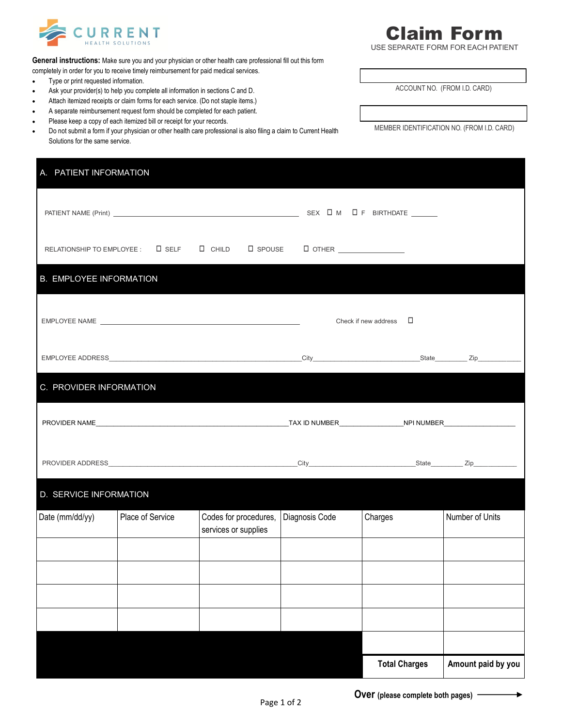

USE SEPARATE FORM FOR EACH PATIENT

**General instructions:** Make sure you and your physician or other health care professional fill out this form

- completely in order for you to receive timely reimbursement for paid medical services.
- Type or print requested information.
- Ask your provider(s) to help you complete all information in sections C and D.
- Attach itemized receipts or claim forms for each service. (Do not staple items.)
- A separate reimbursement request form should be completed for each patient.
- Please keep a copy of each itemized bill or receipt for your records.
- Do not submit a form if your physician or other health care professional is also filing a claim to Current Health Solutions for the same service.

| A. PATIENT INFORMATION         |                  |                                               |                |                                |                    |  |
|--------------------------------|------------------|-----------------------------------------------|----------------|--------------------------------|--------------------|--|
|                                |                  |                                               |                |                                |                    |  |
|                                |                  |                                               |                |                                |                    |  |
| <b>B. EMPLOYEE INFORMATION</b> |                  |                                               |                |                                |                    |  |
|                                |                  |                                               |                | Check if new address $\square$ |                    |  |
|                                |                  |                                               |                |                                |                    |  |
| C. PROVIDER INFORMATION        |                  |                                               |                |                                |                    |  |
|                                |                  |                                               |                |                                |                    |  |
|                                |                  |                                               |                |                                |                    |  |
| D. SERVICE INFORMATION         |                  |                                               |                |                                |                    |  |
| Date (mm/dd/yy)                | Place of Service | Codes for procedures,<br>services or supplies | Diagnosis Code | Charges                        | Number of Units    |  |
|                                |                  |                                               |                |                                |                    |  |
|                                |                  |                                               |                |                                |                    |  |
|                                |                  |                                               |                |                                |                    |  |
|                                |                  |                                               |                |                                |                    |  |
|                                |                  |                                               |                | <b>Total Charges</b>           | Amount paid by you |  |

MEMBER IDENTIFICATION NO. (FROM I.D. CARD)

ACCOUNT NO. (FROM I.D. CARD)